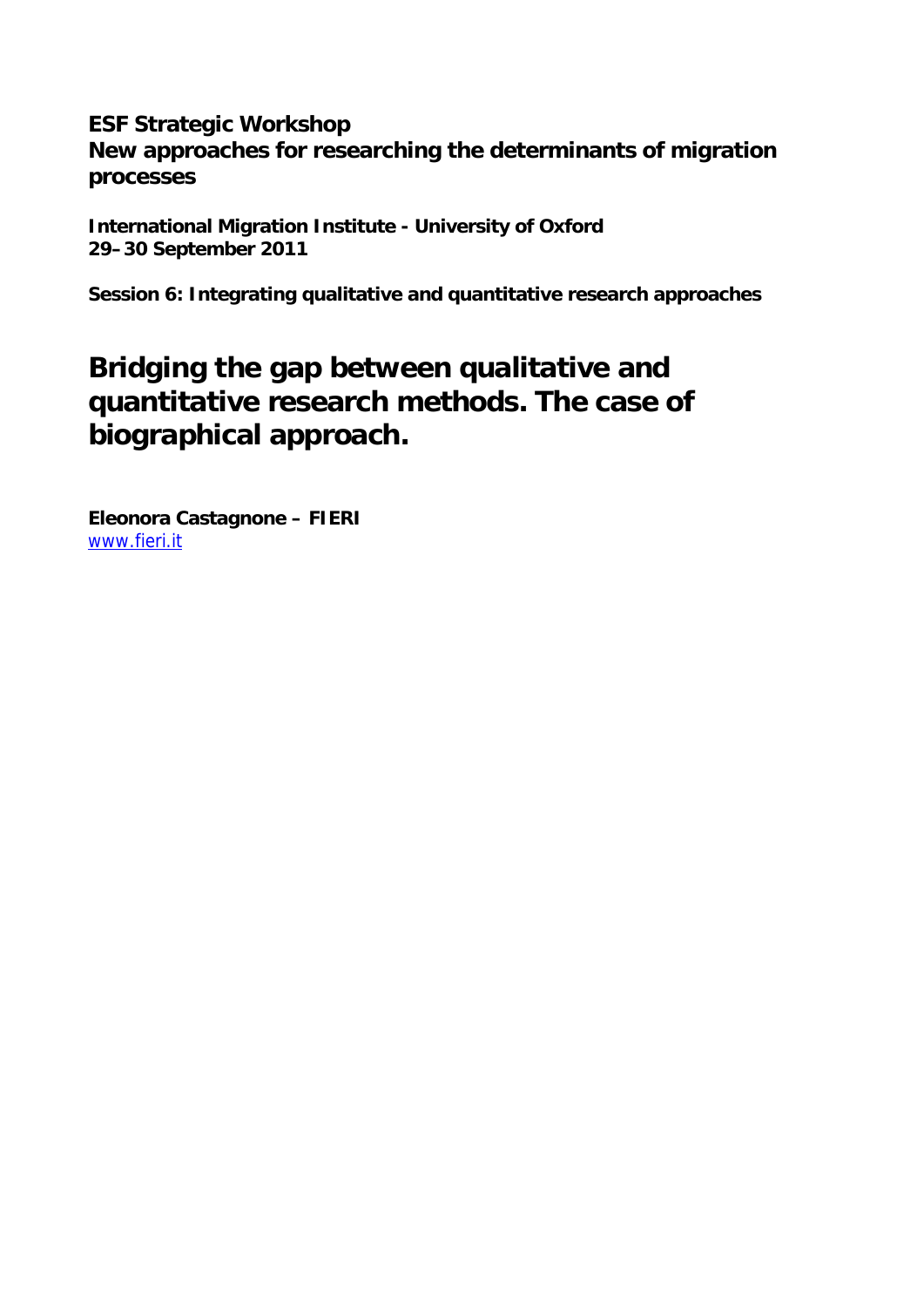## **ESF Strategic Workshop New approaches for researching the determinants of migration processes**

**International Migration Institute - University of Oxford 29–30 September 2011** 

**Session 6: Integrating qualitative and quantitative research approaches** 

# **Bridging the gap between qualitative and quantitative research methods. The case of biographical approach.**

**Eleonora Castagnone – FIERI**  www.fieri.it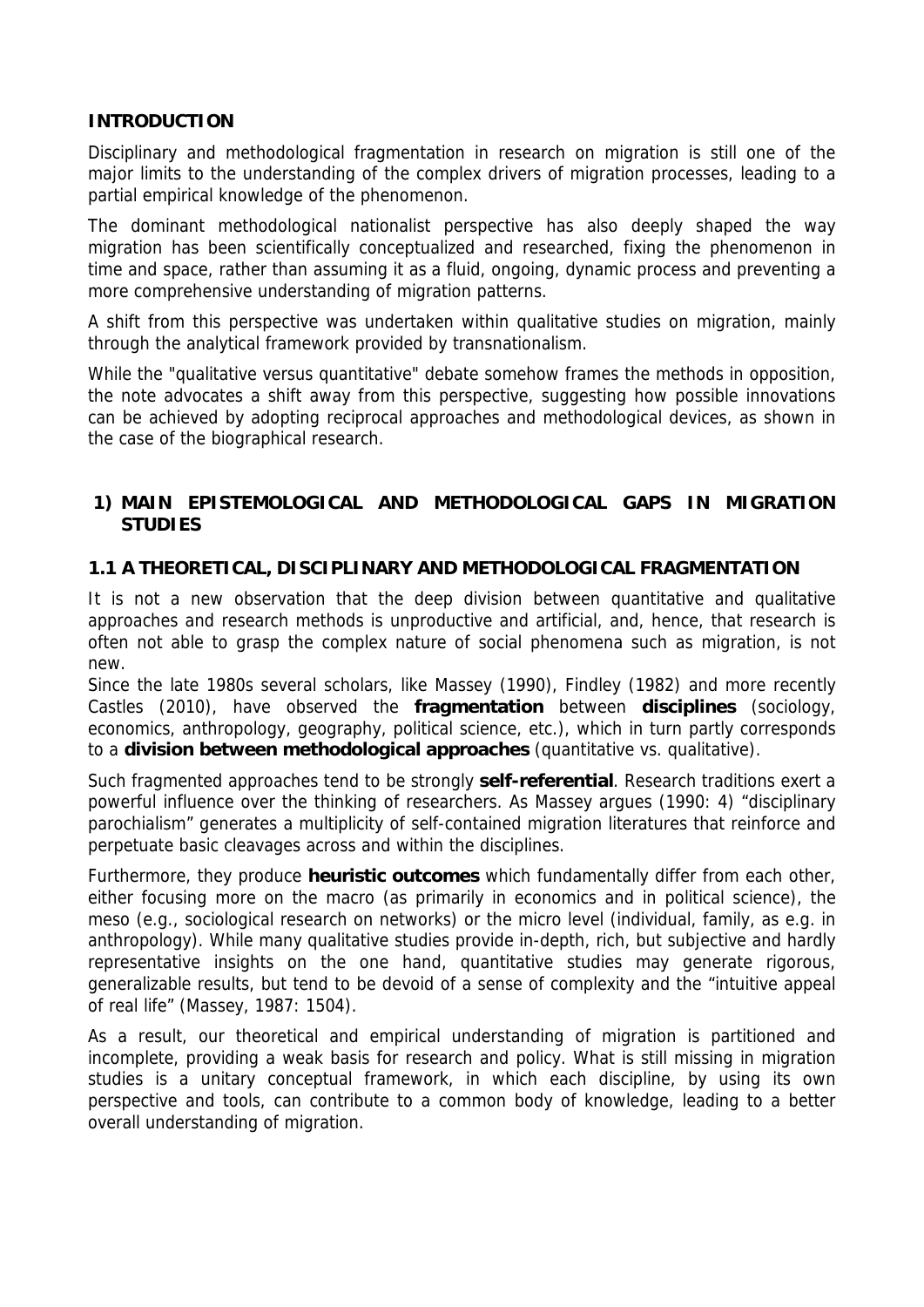#### **INTRODUCTION**

Disciplinary and methodological fragmentation in research on migration is still one of the major limits to the understanding of the complex drivers of migration processes, leading to a partial empirical knowledge of the phenomenon.

The dominant methodological nationalist perspective has also deeply shaped the way migration has been scientifically conceptualized and researched, fixing the phenomenon in time and space, rather than assuming it as a fluid, ongoing, dynamic process and preventing a more comprehensive understanding of migration patterns.

A shift from this perspective was undertaken within qualitative studies on migration, mainly through the analytical framework provided by transnationalism.

While the "qualitative versus quantitative" debate somehow frames the methods in opposition, the note advocates a shift away from this perspective, suggesting how possible innovations can be achieved by adopting reciprocal approaches and methodological devices, as shown in the case of the biographical research.

### **1) MAIN EPISTEMOLOGICAL AND METHODOLOGICAL GAPS IN MIGRATION STUDIES**

#### **1.1 A THEORETICAL, DISCIPLINARY AND METHODOLOGICAL FRAGMENTATION**

It is not a new observation that the deep division between quantitative and qualitative approaches and research methods is unproductive and artificial, and, hence, that research is often not able to grasp the complex nature of social phenomena such as migration, is not new.

Since the late 1980s several scholars, like Massey (1990), Findley (1982) and more recently Castles (2010), have observed the **fragmentation** between **disciplines** (sociology, economics, anthropology, geography, political science, etc.), which in turn partly corresponds to a **division between methodological approaches** (quantitative vs. qualitative).

Such fragmented approaches tend to be strongly **self-referential**. Research traditions exert a powerful influence over the thinking of researchers. As Massey argues (1990: 4) "disciplinary parochialism" generates a multiplicity of self-contained migration literatures that reinforce and perpetuate basic cleavages across and within the disciplines.

Furthermore, they produce **heuristic outcomes** which fundamentally differ from each other, either focusing more on the macro (as primarily in economics and in political science), the meso (e.g., sociological research on networks) or the micro level (individual, family, as e.g. in anthropology). While many qualitative studies provide in-depth, rich, but subjective and hardly representative insights on the one hand, quantitative studies may generate rigorous, generalizable results, but tend to be devoid of a sense of complexity and the "intuitive appeal of real life" (Massey, 1987: 1504).

As a result, our theoretical and empirical understanding of migration is partitioned and incomplete, providing a weak basis for research and policy. What is still missing in migration studies is a unitary conceptual framework, in which each discipline, by using its own perspective and tools, can contribute to a common body of knowledge, leading to a better overall understanding of migration.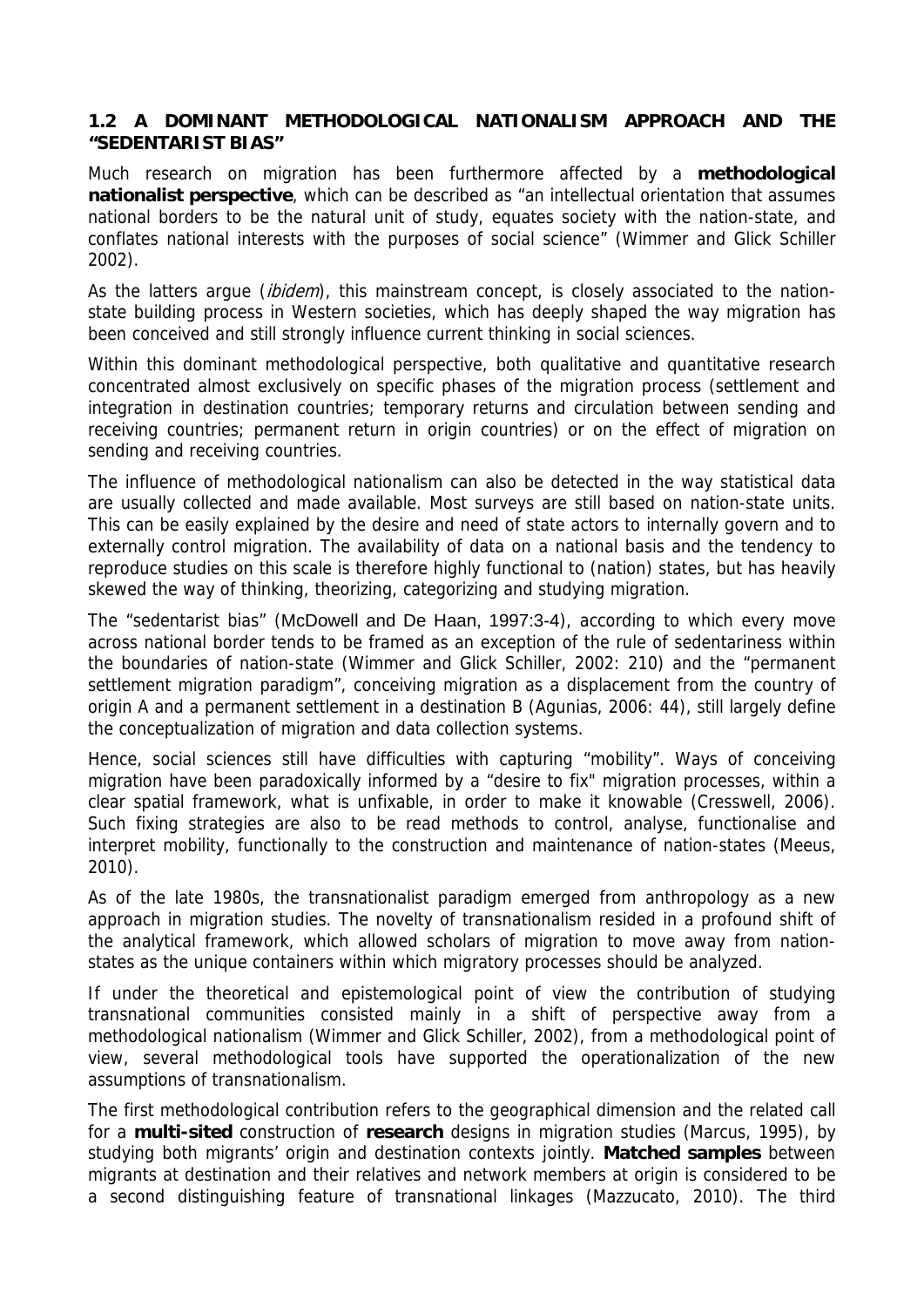#### **1.2 A DOMINANT METHODOLOGICAL NATIONALISM APPROACH AND THE "SEDENTARIST BIAS"**

Much research on migration has been furthermore affected by a **methodological nationalist perspective**, which can be described as "an intellectual orientation that assumes national borders to be the natural unit of study, equates society with the nation-state, and conflates national interests with the purposes of social science" (Wimmer and Glick Schiller 2002).

As the latters argue *(ibidem)*, this mainstream concept, is closely associated to the nationstate building process in Western societies, which has deeply shaped the way migration has been conceived and still strongly influence current thinking in social sciences.

Within this dominant methodological perspective, both qualitative and quantitative research concentrated almost exclusively on specific phases of the migration process (settlement and integration in destination countries; temporary returns and circulation between sending and receiving countries; permanent return in origin countries) or on the effect of migration on sending and receiving countries.

The influence of methodological nationalism can also be detected in the way statistical data are usually collected and made available. Most surveys are still based on nation-state units. This can be easily explained by the desire and need of state actors to internally govern and to externally control migration. The availability of data on a national basis and the tendency to reproduce studies on this scale is therefore highly functional to (nation) states, but has heavily skewed the way of thinking, theorizing, categorizing and studying migration.

The "sedentarist bias" (McDowell and De Haan, 1997:3-4), according to which every move across national border tends to be framed as an exception of the rule of sedentariness within the boundaries of nation-state (Wimmer and Glick Schiller, 2002: 210) and the "permanent settlement migration paradigm", conceiving migration as a displacement from the country of origin A and a permanent settlement in a destination B (Agunias, 2006: 44), still largely define the conceptualization of migration and data collection systems.

Hence, social sciences still have difficulties with capturing "mobility". Ways of conceiving migration have been paradoxically informed by a "desire to fix" migration processes, within a clear spatial framework, what is unfixable, in order to make it knowable (Cresswell, 2006). Such fixing strategies are also to be read methods to control, analyse, functionalise and interpret mobility, functionally to the construction and maintenance of nation-states (Meeus, 2010).

As of the late 1980s, the transnationalist paradigm emerged from anthropology as a new approach in migration studies. The novelty of transnationalism resided in a profound shift of the analytical framework, which allowed scholars of migration to move away from nationstates as the unique containers within which migratory processes should be analyzed.

If under the theoretical and epistemological point of view the contribution of studying transnational communities consisted mainly in a shift of perspective away from a methodological nationalism (Wimmer and Glick Schiller, 2002), from a methodological point of view, several methodological tools have supported the operationalization of the new assumptions of transnationalism.

The first methodological contribution refers to the geographical dimension and the related call for a **multi-sited** construction of **research** designs in migration studies (Marcus, 1995), by studying both migrants' origin and destination contexts jointly. **Matched samples** between migrants at destination and their relatives and network members at origin is considered to be a second distinguishing feature of transnational linkages (Mazzucato, 2010). The third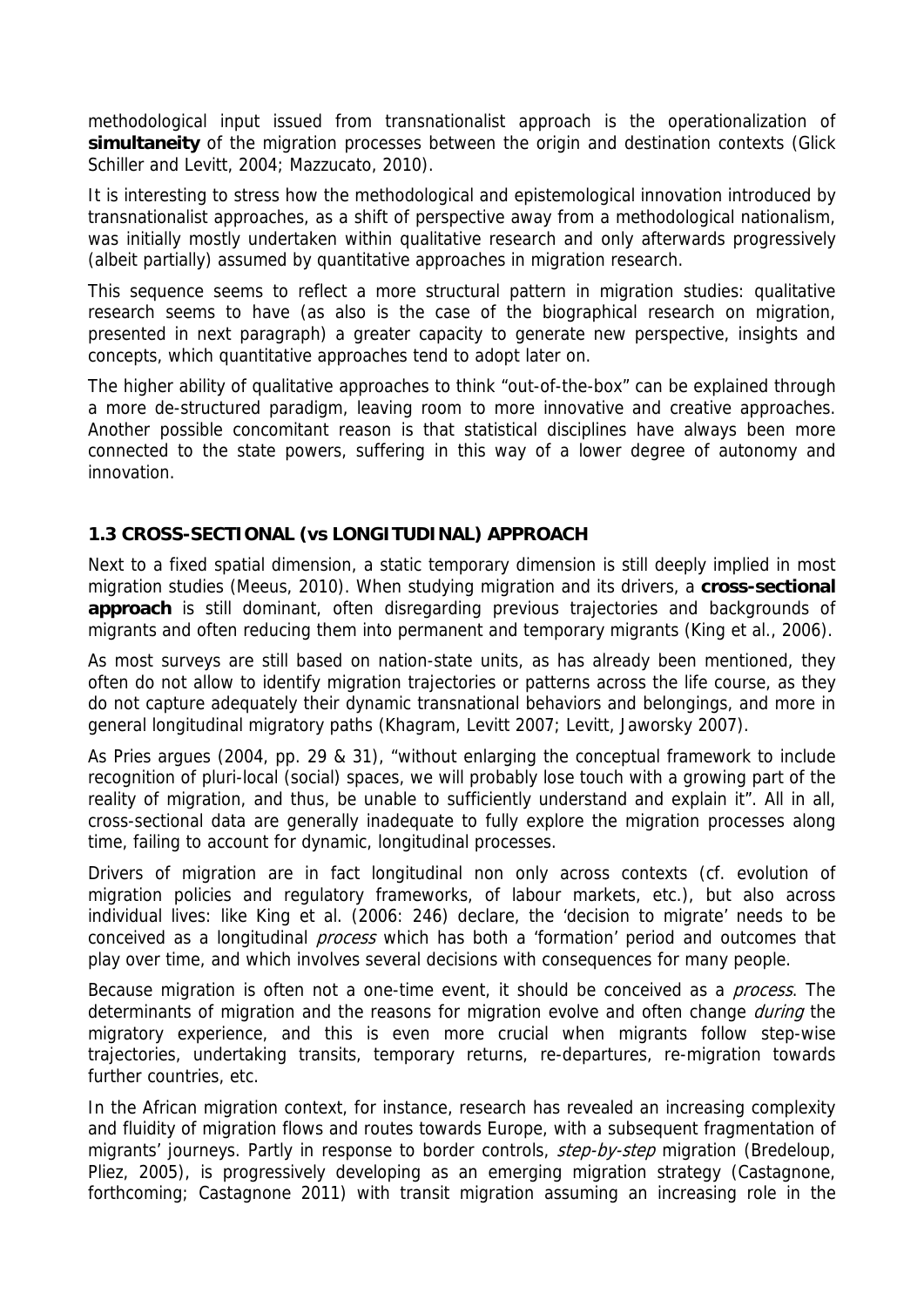methodological input issued from transnationalist approach is the operationalization of **simultaneity** of the migration processes between the origin and destination contexts (Glick Schiller and Levitt, 2004; Mazzucato, 2010).

It is interesting to stress how the methodological and epistemological innovation introduced by transnationalist approaches, as a shift of perspective away from a methodological nationalism, was initially mostly undertaken within qualitative research and only afterwards progressively (albeit partially) assumed by quantitative approaches in migration research.

This sequence seems to reflect a more structural pattern in migration studies: qualitative research seems to have (as also is the case of the biographical research on migration, presented in next paragraph) a greater capacity to generate new perspective, insights and concepts, which quantitative approaches tend to adopt later on.

The higher ability of qualitative approaches to think "out-of-the-box" can be explained through a more de-structured paradigm, leaving room to more innovative and creative approaches. Another possible concomitant reason is that statistical disciplines have always been more connected to the state powers, suffering in this way of a lower degree of autonomy and innovation.

## **1.3 CROSS-SECTIONAL (vs LONGITUDINAL) APPROACH**

Next to a fixed spatial dimension, a static temporary dimension is still deeply implied in most migration studies (Meeus, 2010). When studying migration and its drivers, a **cross-sectional approach** is still dominant, often disregarding previous trajectories and backgrounds of migrants and often reducing them into permanent and temporary migrants (King et al., 2006).

As most surveys are still based on nation-state units, as has already been mentioned, they often do not allow to identify migration trajectories or patterns across the life course, as they do not capture adequately their dynamic transnational behaviors and belongings, and more in general longitudinal migratory paths (Khagram, Levitt 2007; Levitt, Jaworsky 2007).

As Pries argues (2004, pp. 29 & 31), "without enlarging the conceptual framework to include recognition of pluri-local (social) spaces, we will probably lose touch with a growing part of the reality of migration, and thus, be unable to sufficiently understand and explain it". All in all, cross-sectional data are generally inadequate to fully explore the migration processes along time, failing to account for dynamic, longitudinal processes.

Drivers of migration are in fact longitudinal non only across contexts (cf. evolution of migration policies and regulatory frameworks, of labour markets, etc.), but also across individual lives: like King et al. (2006: 246) declare, the 'decision to migrate' needs to be conceived as a longitudinal *process* which has both a 'formation' period and outcomes that play over time, and which involves several decisions with consequences for many people.

Because migration is often not a one-time event, it should be conceived as a *process*. The determinants of migration and the reasons for migration evolve and often change *during* the migratory experience, and this is even more crucial when migrants follow step-wise trajectories, undertaking transits, temporary returns, re-departures, re-migration towards further countries, etc.

In the African migration context, for instance, research has revealed an increasing complexity and fluidity of migration flows and routes towards Europe, with a subsequent fragmentation of migrants' journeys. Partly in response to border controls, step-by-step migration (Bredeloup, Pliez, 2005), is progressively developing as an emerging migration strategy (Castagnone, forthcoming; Castagnone 2011) with transit migration assuming an increasing role in the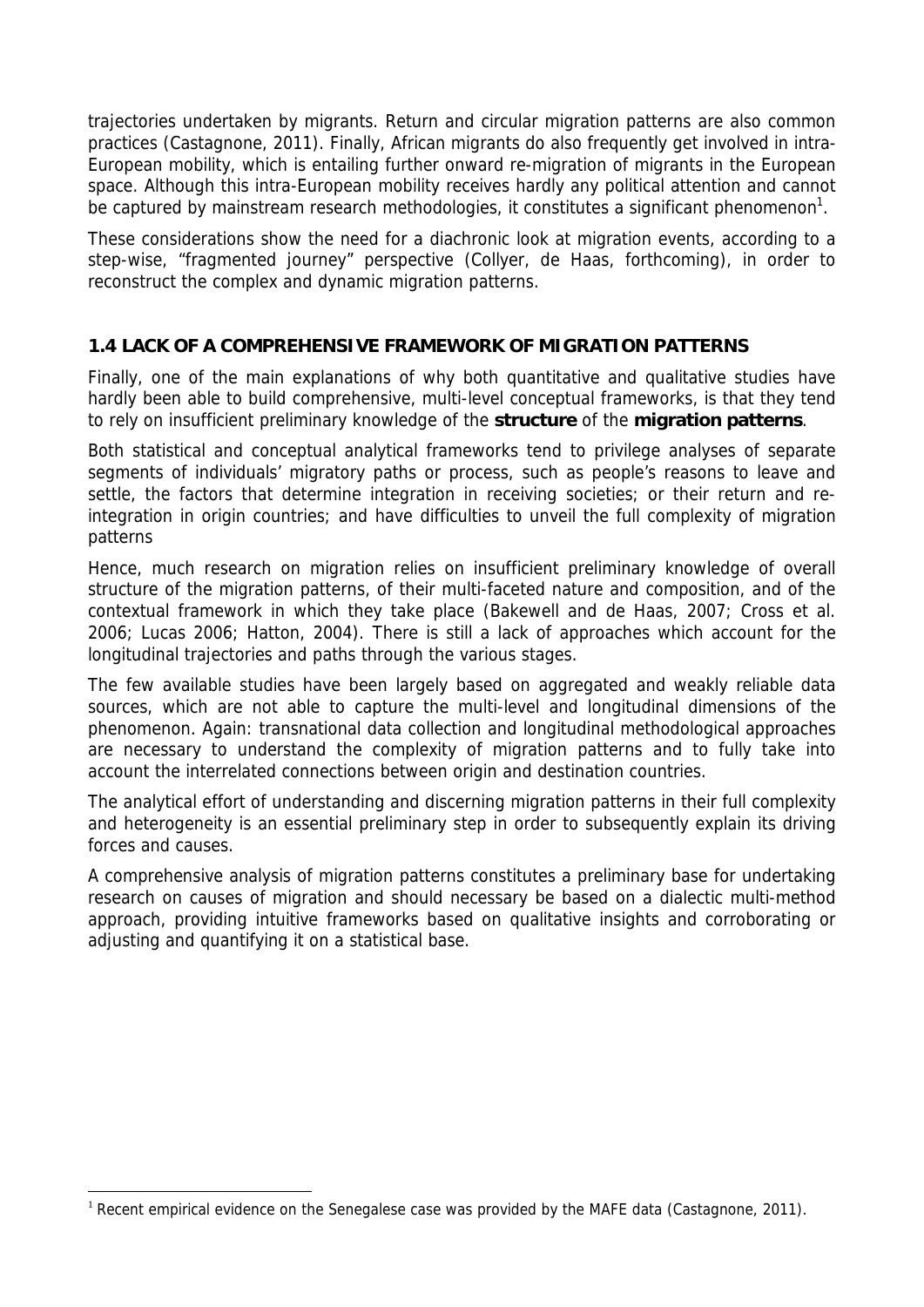trajectories undertaken by migrants. Return and circular migration patterns are also common practices (Castagnone, 2011). Finally, African migrants do also frequently get involved in intra-European mobility, which is entailing further onward re-migration of migrants in the European space. Although this intra-European mobility receives hardly any political attention and cannot be captured by mainstream research methodologies, it constitutes a significant phenomenon<sup>1</sup>.

These considerations show the need for a diachronic look at migration events, according to a step-wise, "fragmented journey" perspective (Collyer, de Haas, forthcoming), in order to reconstruct the complex and dynamic migration patterns.

## **1.4 LACK OF A COMPREHENSIVE FRAMEWORK OF MIGRATION PATTERNS**

Finally, one of the main explanations of why both quantitative and qualitative studies have hardly been able to build comprehensive, multi-level conceptual frameworks, is that they tend to rely on insufficient preliminary knowledge of the **structure** of the **migration patterns**.

Both statistical and conceptual analytical frameworks tend to privilege analyses of separate segments of individuals' migratory paths or process, such as people's reasons to leave and settle, the factors that determine integration in receiving societies; or their return and reintegration in origin countries; and have difficulties to unveil the full complexity of migration patterns

Hence, much research on migration relies on insufficient preliminary knowledge of overall structure of the migration patterns, of their multi-faceted nature and composition, and of the contextual framework in which they take place (Bakewell and de Haas, 2007; Cross et al. 2006; Lucas 2006; Hatton, 2004). There is still a lack of approaches which account for the longitudinal trajectories and paths through the various stages.

The few available studies have been largely based on aggregated and weakly reliable data sources, which are not able to capture the multi-level and longitudinal dimensions of the phenomenon. Again: transnational data collection and longitudinal methodological approaches are necessary to understand the complexity of migration patterns and to fully take into account the interrelated connections between origin and destination countries.

The analytical effort of understanding and discerning migration patterns in their full complexity and heterogeneity is an essential preliminary step in order to subsequently explain its driving forces and causes.

A comprehensive analysis of migration patterns constitutes a preliminary base for undertaking research on causes of migration and should necessary be based on a dialectic multi-method approach, providing intuitive frameworks based on qualitative insights and corroborating or adjusting and quantifying it on a statistical base.

 $\overline{a}$ 

<sup>&</sup>lt;sup>1</sup> Recent empirical evidence on the Senegalese case was provided by the MAFE data (Castagnone, 2011).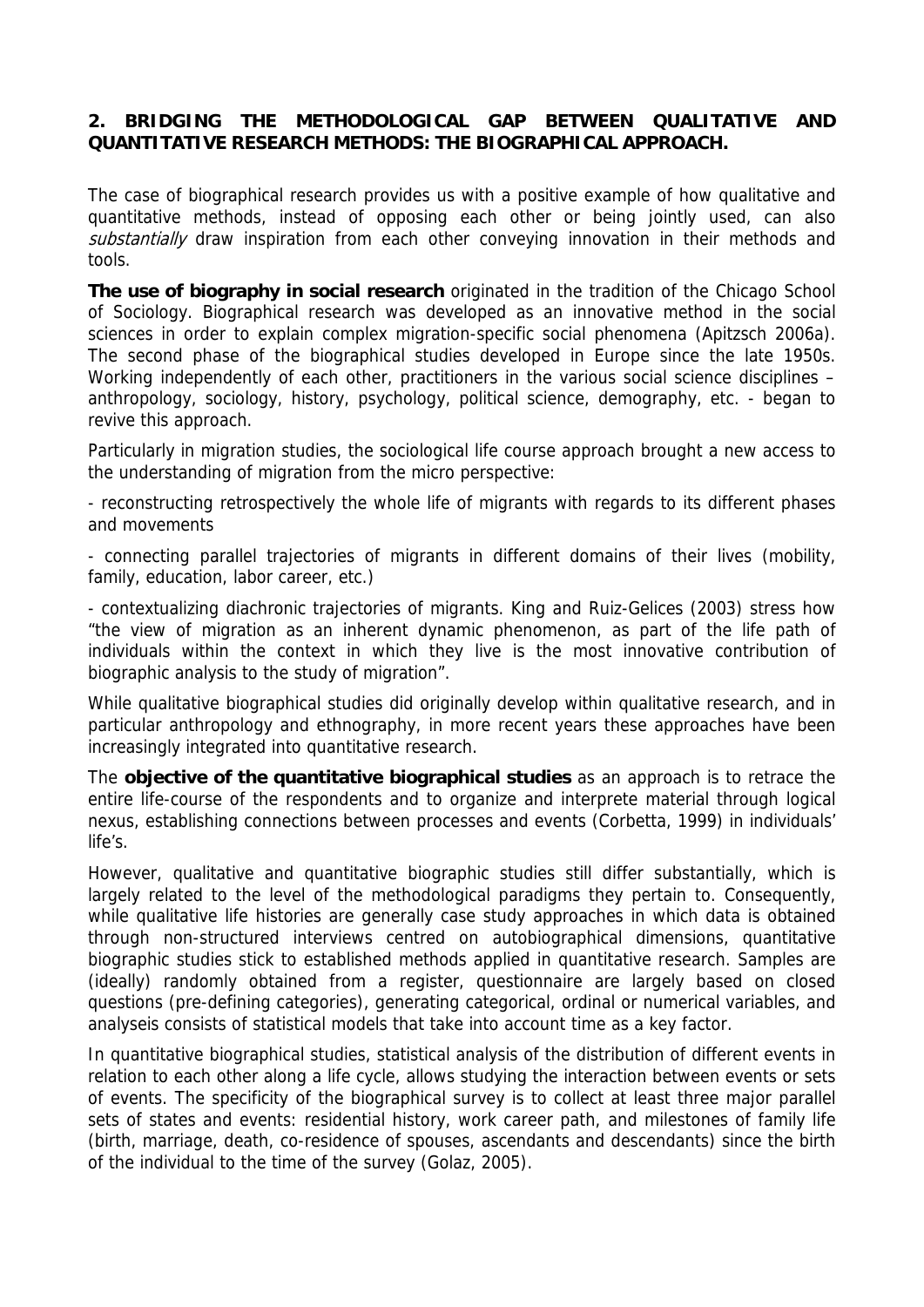### **2. BRIDGING THE METHODOLOGICAL GAP BETWEEN QUALITATIVE AND QUANTITATIVE RESEARCH METHODS: THE BIOGRAPHICAL APPROACH.**

The case of biographical research provides us with a positive example of how qualitative and quantitative methods, instead of opposing each other or being jointly used, can also substantially draw inspiration from each other conveying innovation in their methods and tools.

**The use of biography in social research** originated in the tradition of the Chicago School of Sociology. Biographical research was developed as an innovative method in the social sciences in order to explain complex migration-specific social phenomena (Apitzsch 2006a). The second phase of the biographical studies developed in Europe since the late 1950s. Working independently of each other, practitioners in the various social science disciplines – anthropology, sociology, history, psychology, political science, demography, etc. - began to revive this approach.

Particularly in migration studies, the sociological life course approach brought a new access to the understanding of migration from the micro perspective:

- reconstructing retrospectively the whole life of migrants with regards to its different phases and movements

- connecting parallel trajectories of migrants in different domains of their lives (mobility, family, education, labor career, etc.)

- contextualizing diachronic trajectories of migrants. King and Ruiz-Gelices (2003) stress how "the view of migration as an inherent dynamic phenomenon, as part of the life path of individuals within the context in which they live is the most innovative contribution of biographic analysis to the study of migration".

While qualitative biographical studies did originally develop within qualitative research, and in particular anthropology and ethnography, in more recent years these approaches have been increasingly integrated into quantitative research.

The **objective of the quantitative biographical studies** as an approach is to retrace the entire life-course of the respondents and to organize and interprete material through logical nexus, establishing connections between processes and events (Corbetta, 1999) in individuals' life's.

However, qualitative and quantitative biographic studies still differ substantially, which is largely related to the level of the methodological paradigms they pertain to. Consequently, while qualitative life histories are generally case study approaches in which data is obtained through non-structured interviews centred on autobiographical dimensions, quantitative biographic studies stick to established methods applied in quantitative research. Samples are (ideally) randomly obtained from a register, questionnaire are largely based on closed questions (pre-defining categories), generating categorical, ordinal or numerical variables, and analyseis consists of statistical models that take into account time as a key factor.

In quantitative biographical studies, statistical analysis of the distribution of different events in relation to each other along a life cycle, allows studying the interaction between events or sets of events. The specificity of the biographical survey is to collect at least three major parallel sets of states and events: residential history, work career path, and milestones of family life (birth, marriage, death, co-residence of spouses, ascendants and descendants) since the birth of the individual to the time of the survey (Golaz, 2005).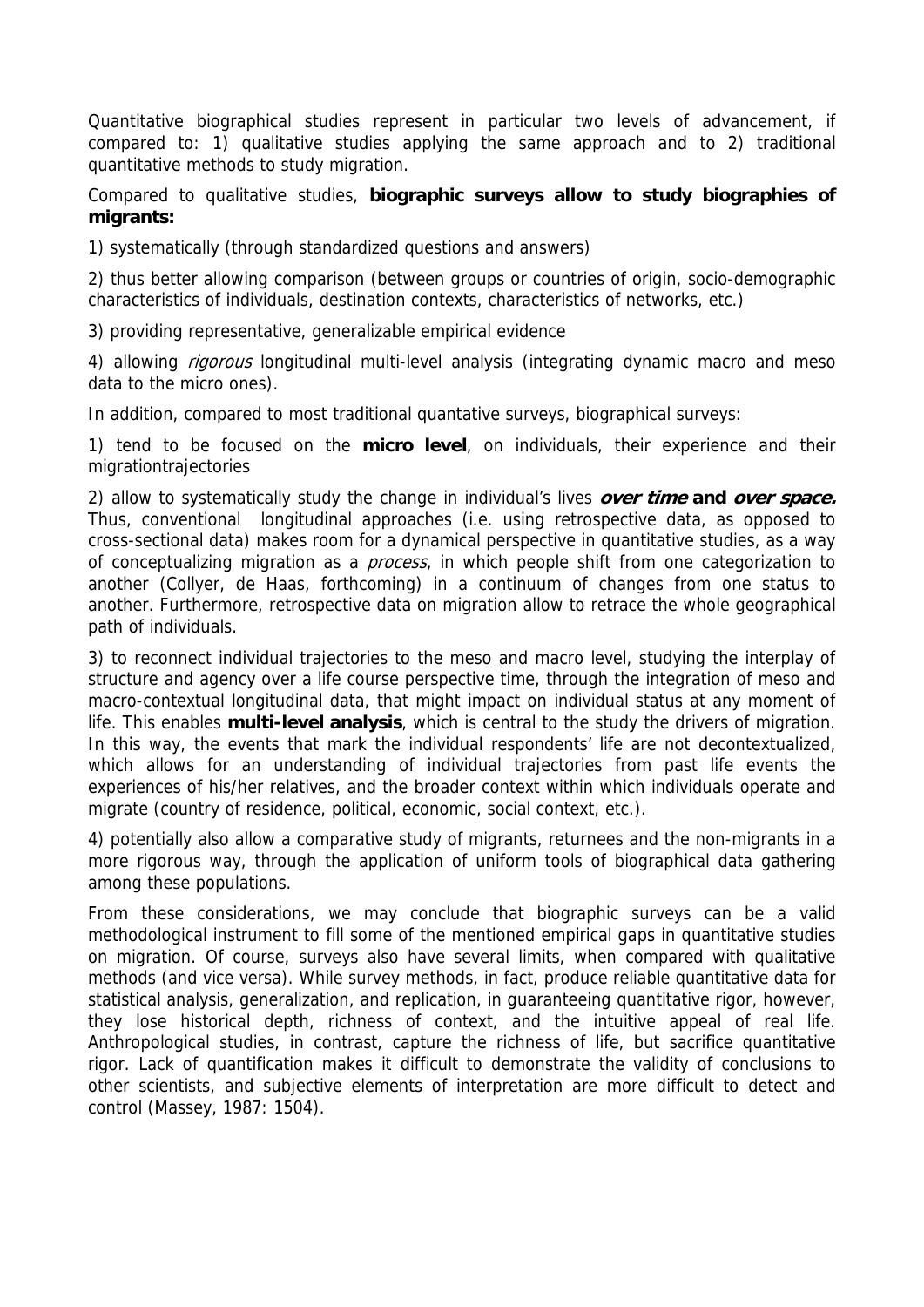Quantitative biographical studies represent in particular two levels of advancement, if compared to: 1) qualitative studies applying the same approach and to 2) traditional quantitative methods to study migration.

Compared to qualitative studies, **biographic surveys allow to study biographies of migrants:** 

1) systematically (through standardized questions and answers)

2) thus better allowing comparison (between groups or countries of origin, socio-demographic characteristics of individuals, destination contexts, characteristics of networks, etc.)

3) providing representative, generalizable empirical evidence

4) allowing *rigorous* longitudinal multi-level analysis (integrating dynamic macro and meso data to the micro ones).

In addition, compared to most traditional quantative surveys, biographical surveys:

1) tend to be focused on the **micro level**, on individuals, their experience and their migrationtrajectories

2) allow to systematically study the change in individual's lives **over time and over space.**  Thus, conventional longitudinal approaches (i.e. using retrospective data, as opposed to cross-sectional data) makes room for a dynamical perspective in quantitative studies, as a way of conceptualizing migration as a *process*, in which people shift from one categorization to another (Collyer, de Haas, forthcoming) in a continuum of changes from one status to another. Furthermore, retrospective data on migration allow to retrace the whole geographical path of individuals.

3) to reconnect individual trajectories to the meso and macro level, studying the interplay of structure and agency over a life course perspective time, through the integration of meso and macro-contextual longitudinal data, that might impact on individual status at any moment of life. This enables **multi-level analysis**, which is central to the study the drivers of migration. In this way, the events that mark the individual respondents' life are not decontextualized, which allows for an understanding of individual trajectories from past life events the experiences of his/her relatives, and the broader context within which individuals operate and migrate (country of residence, political, economic, social context, etc.).

4) potentially also allow a comparative study of migrants, returnees and the non-migrants in a more rigorous way, through the application of uniform tools of biographical data gathering among these populations.

From these considerations, we may conclude that biographic surveys can be a valid methodological instrument to fill some of the mentioned empirical gaps in quantitative studies on migration. Of course, surveys also have several limits, when compared with qualitative methods (and vice versa). While survey methods, in fact, produce reliable quantitative data for statistical analysis, generalization, and replication, in guaranteeing quantitative rigor, however, they lose historical depth, richness of context, and the intuitive appeal of real life. Anthropological studies, in contrast, capture the richness of life, but sacrifice quantitative rigor. Lack of quantification makes it difficult to demonstrate the validity of conclusions to other scientists, and subjective elements of interpretation are more difficult to detect and control (Massey, 1987: 1504).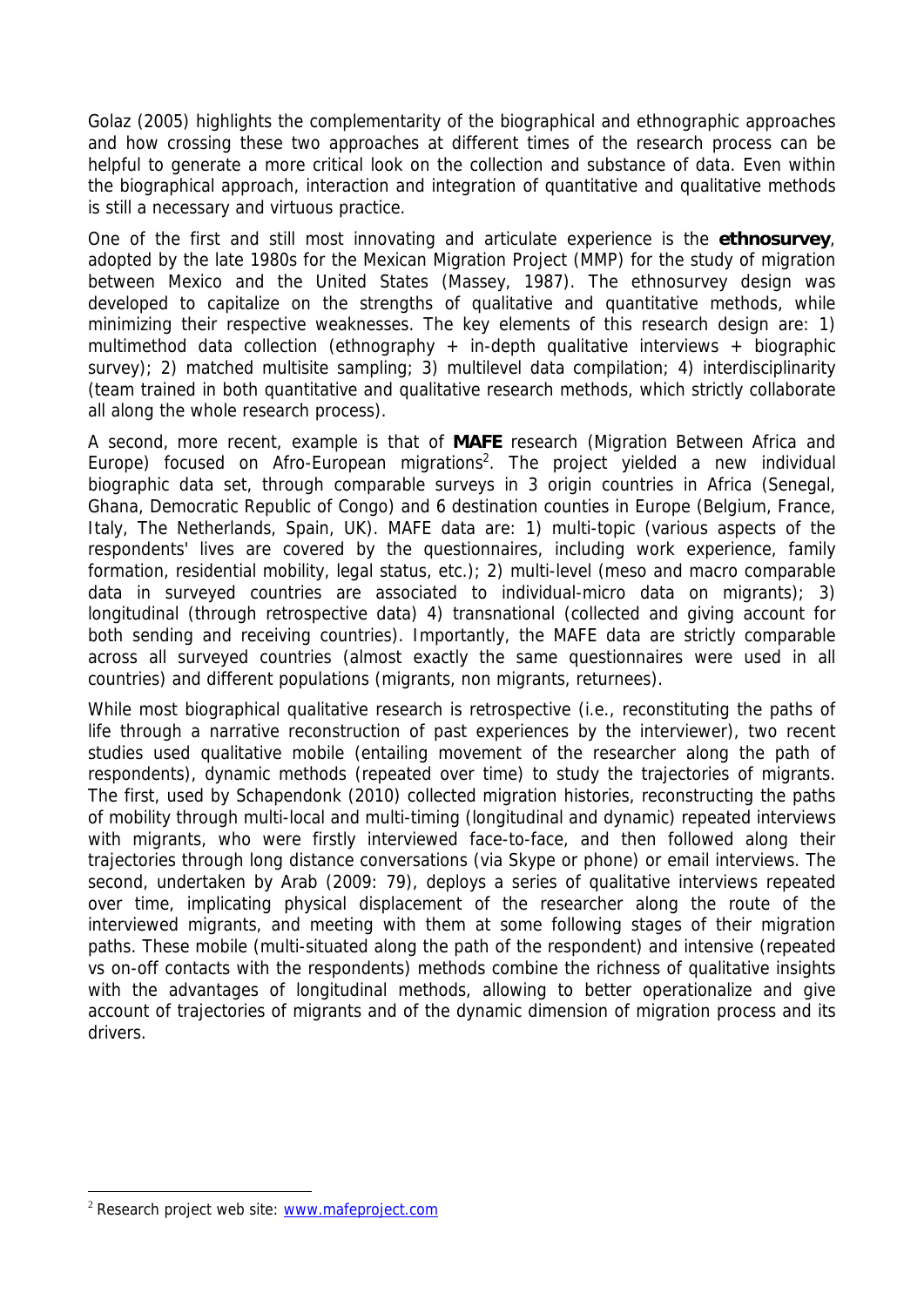Golaz (2005) highlights the complementarity of the biographical and ethnographic approaches and how crossing these two approaches at different times of the research process can be helpful to generate a more critical look on the collection and substance of data. Even within the biographical approach, interaction and integration of quantitative and qualitative methods is still a necessary and virtuous practice.

One of the first and still most innovating and articulate experience is the **ethnosurvey**, adopted by the late 1980s for the Mexican Migration Project (MMP) for the study of migration between Mexico and the United States (Massey, 1987). The ethnosurvey design was developed to capitalize on the strengths of qualitative and quantitative methods, while minimizing their respective weaknesses. The key elements of this research design are: 1) multimethod data collection (ethnography + in-depth qualitative interviews + biographic survey); 2) matched multisite sampling; 3) multilevel data compilation; 4) interdisciplinarity (team trained in both quantitative and qualitative research methods, which strictly collaborate all along the whole research process).

A second, more recent, example is that of **MAFE** research (Migration Between Africa and Europe) focused on Afro-European migrations<sup>2</sup>. The project yielded a new individual biographic data set, through comparable surveys in 3 origin countries in Africa (Senegal, Ghana, Democratic Republic of Congo) and 6 destination counties in Europe (Belgium, France, Italy, The Netherlands, Spain, UK). MAFE data are: 1) multi-topic (various aspects of the respondents' lives are covered by the questionnaires, including work experience, family formation, residential mobility, legal status, etc.); 2) multi-level (meso and macro comparable data in surveyed countries are associated to individual-micro data on migrants); 3) longitudinal (through retrospective data) 4) transnational (collected and giving account for both sending and receiving countries). Importantly, the MAFE data are strictly comparable across all surveyed countries (almost exactly the same questionnaires were used in all countries) and different populations (migrants, non migrants, returnees).

While most biographical qualitative research is retrospective (i.e., reconstituting the paths of life through a narrative reconstruction of past experiences by the interviewer), two recent studies used qualitative mobile (entailing movement of the researcher along the path of respondents), dynamic methods (repeated over time) to study the trajectories of migrants. The first, used by Schapendonk (2010) collected migration histories, reconstructing the paths of mobility through multi-local and multi-timing (longitudinal and dynamic) repeated interviews with migrants, who were firstly interviewed face-to-face, and then followed along their trajectories through long distance conversations (via Skype or phone) or email interviews. The second, undertaken by Arab (2009: 79), deploys a series of qualitative interviews repeated over time, implicating physical displacement of the researcher along the route of the interviewed migrants, and meeting with them at some following stages of their migration paths. These mobile (multi-situated along the path of the respondent) and intensive (repeated vs on-off contacts with the respondents) methods combine the richness of qualitative insights with the advantages of longitudinal methods, allowing to better operationalize and give account of trajectories of migrants and of the dynamic dimension of migration process and its drivers.

 $\overline{a}$ 

<sup>&</sup>lt;sup>2</sup> Research project web site: www.mafeproject.com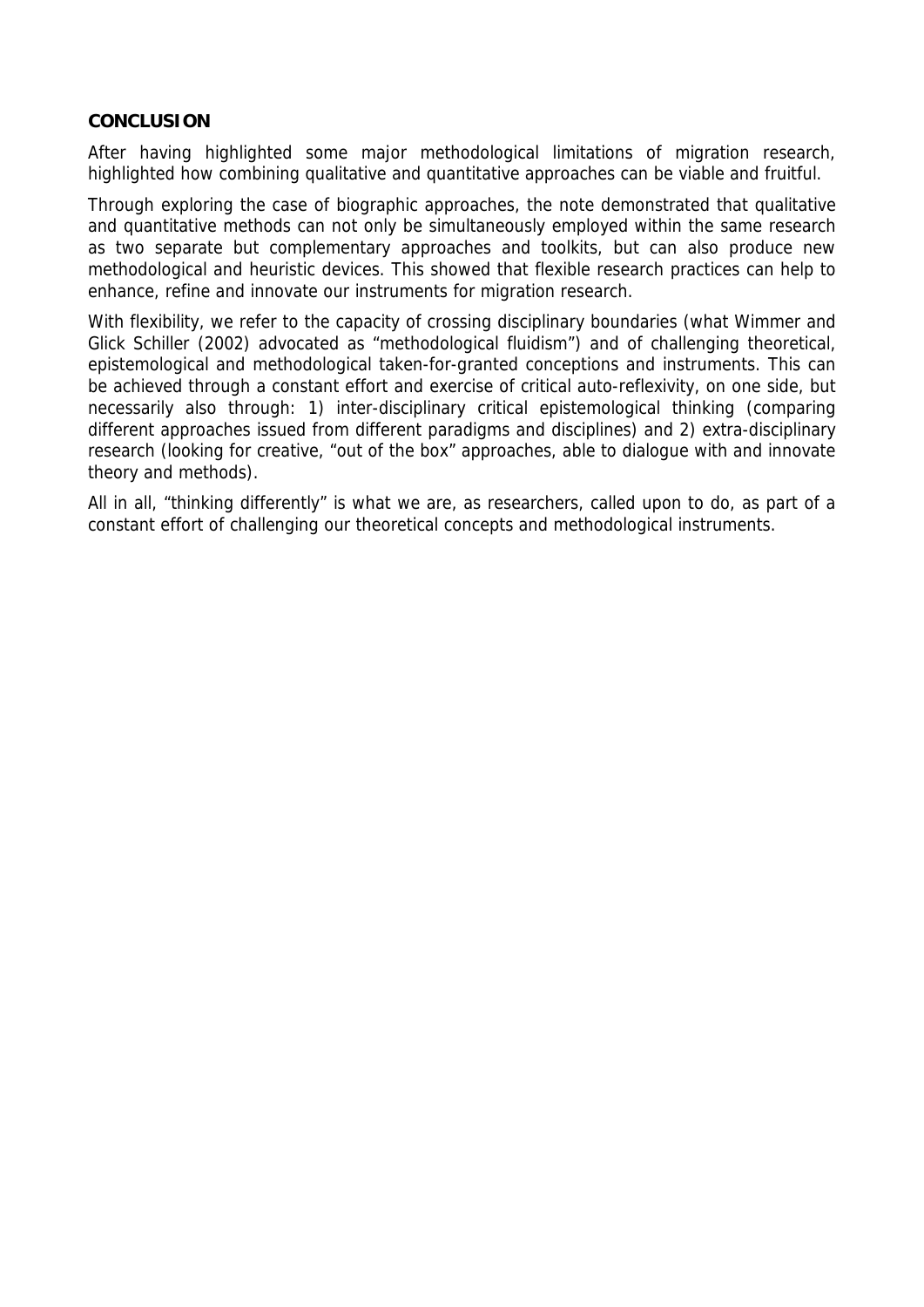#### **CONCLUSION**

After having highlighted some major methodological limitations of migration research, highlighted how combining qualitative and quantitative approaches can be viable and fruitful.

Through exploring the case of biographic approaches, the note demonstrated that qualitative and quantitative methods can not only be simultaneously employed within the same research as two separate but complementary approaches and toolkits, but can also produce new methodological and heuristic devices. This showed that flexible research practices can help to enhance, refine and innovate our instruments for migration research.

With flexibility, we refer to the capacity of crossing disciplinary boundaries (what Wimmer and Glick Schiller (2002) advocated as "methodological fluidism") and of challenging theoretical, epistemological and methodological taken-for-granted conceptions and instruments. This can be achieved through a constant effort and exercise of critical auto-reflexivity, on one side, but necessarily also through: 1) inter-disciplinary critical epistemological thinking (comparing different approaches issued from different paradigms and disciplines) and 2) extra-disciplinary research (looking for creative, "out of the box" approaches, able to dialogue with and innovate theory and methods).

All in all, "thinking differently" is what we are, as researchers, called upon to do, as part of a constant effort of challenging our theoretical concepts and methodological instruments.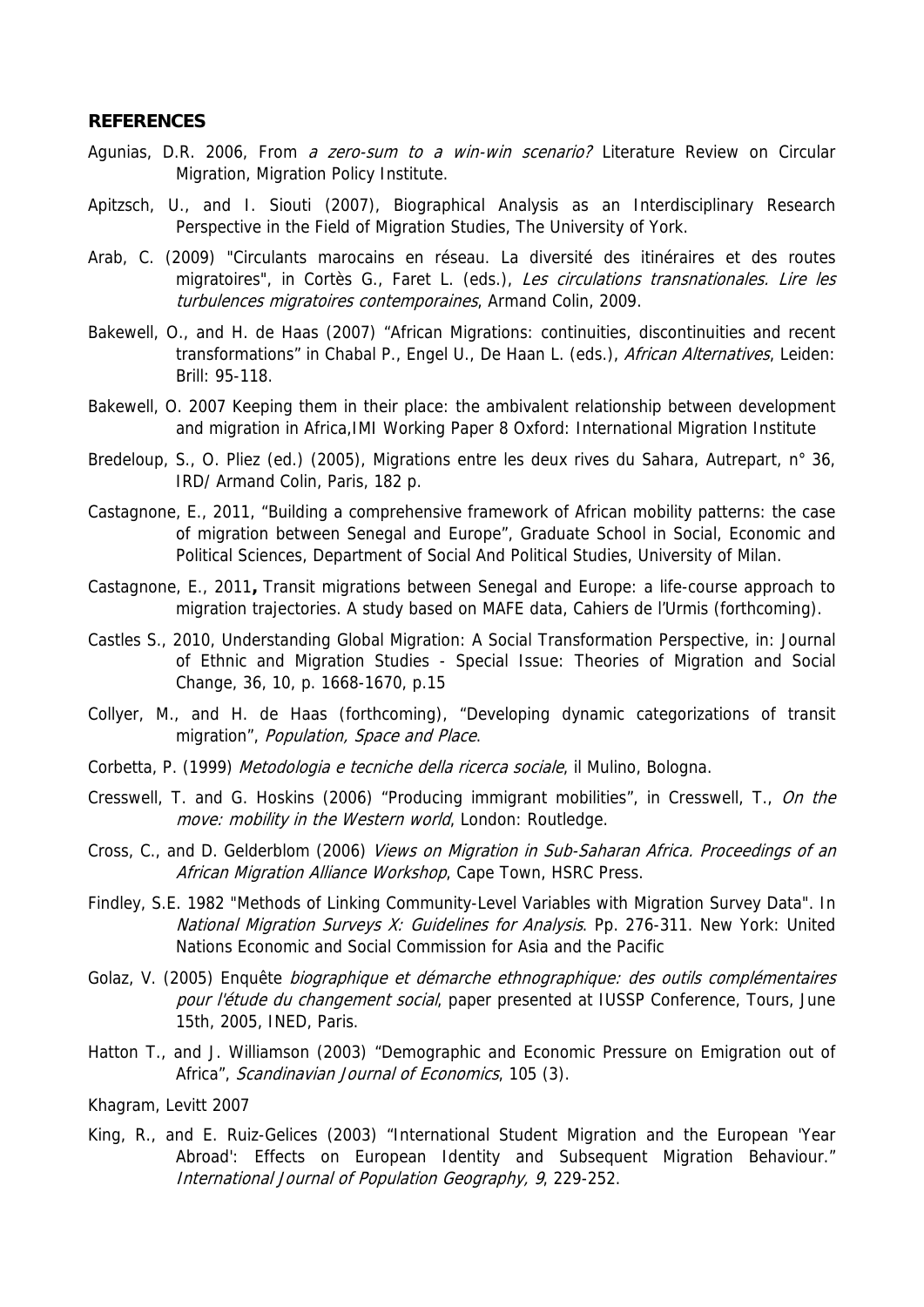#### **REFERENCES**

- Agunias, D.R. 2006, From a zero-sum to a win-win scenario? Literature Review on Circular Migration, Migration Policy Institute.
- Apitzsch, U., and I. Siouti (2007), Biographical Analysis as an Interdisciplinary Research Perspective in the Field of Migration Studies, The University of York.
- Arab, C. (2009) "Circulants marocains en réseau. La diversité des itinéraires et des routes migratoires", in Cortès G., Faret L. (eds.), Les circulations transnationales. Lire les turbulences migratoires contemporaines, Armand Colin, 2009.
- Bakewell, O., and H. de Haas (2007) "African Migrations: continuities, discontinuities and recent transformations" in Chabal P., Engel U., De Haan L. (eds.), African Alternatives, Leiden: Brill: 95-118.
- Bakewell, O. 2007 Keeping them in their place: the ambivalent relationship between development and migration in Africa,IMI Working Paper 8 Oxford: International Migration Institute
- Bredeloup, S., O. Pliez (ed.) (2005), Migrations entre les deux rives du Sahara, Autrepart, n° 36, IRD/ Armand Colin, Paris, 182 p.
- Castagnone, E., 2011, "Building a comprehensive framework of African mobility patterns: the case of migration between Senegal and Europe", Graduate School in Social, Economic and Political Sciences, Department of Social And Political Studies, University of Milan.
- Castagnone, E., 2011**,** Transit migrations between Senegal and Europe: a life-course approach to migration trajectories. A study based on MAFE data, Cahiers de l'Urmis (forthcoming).
- Castles S., 2010, Understanding Global Migration: A Social Transformation Perspective, in: Journal of Ethnic and Migration Studies - Special Issue: Theories of Migration and Social Change, 36, 10, p. 1668-1670, p.15
- Collyer, M., and H. de Haas (forthcoming), "Developing dynamic categorizations of transit migration", Population, Space and Place.
- Corbetta, P. (1999) Metodologia e tecniche della ricerca sociale, il Mulino, Bologna.
- Cresswell, T. and G. Hoskins (2006) "Producing immigrant mobilities", in Cresswell, T., On the move: mobility in the Western world, London: Routledge.
- Cross, C., and D. Gelderblom (2006) Views on Migration in Sub-Saharan Africa. Proceedings of an African Migration Alliance Workshop, Cape Town, HSRC Press.
- Findley, S.E. 1982 "Methods of Linking Community-Level Variables with Migration Survey Data". In National Migration Surveys X: Guidelines for Analysis. Pp. 276-311. New York: United Nations Economic and Social Commission for Asia and the Pacific
- Golaz, V. (2005) Enquête biographique et démarche ethnographique: des outils complémentaires pour l'étude du changement social, paper presented at IUSSP Conference, Tours, June 15th, 2005, INED, Paris.
- Hatton T., and J. Williamson (2003) "Demographic and Economic Pressure on Emigration out of Africa", Scandinavian Journal of Economics, 105 (3).
- Khagram, Levitt 2007
- King, R., and E. Ruiz-Gelices (2003) "International Student Migration and the European 'Year Abroad': Effects on European Identity and Subsequent Migration Behaviour." International Journal of Population Geography, 9, 229-252.